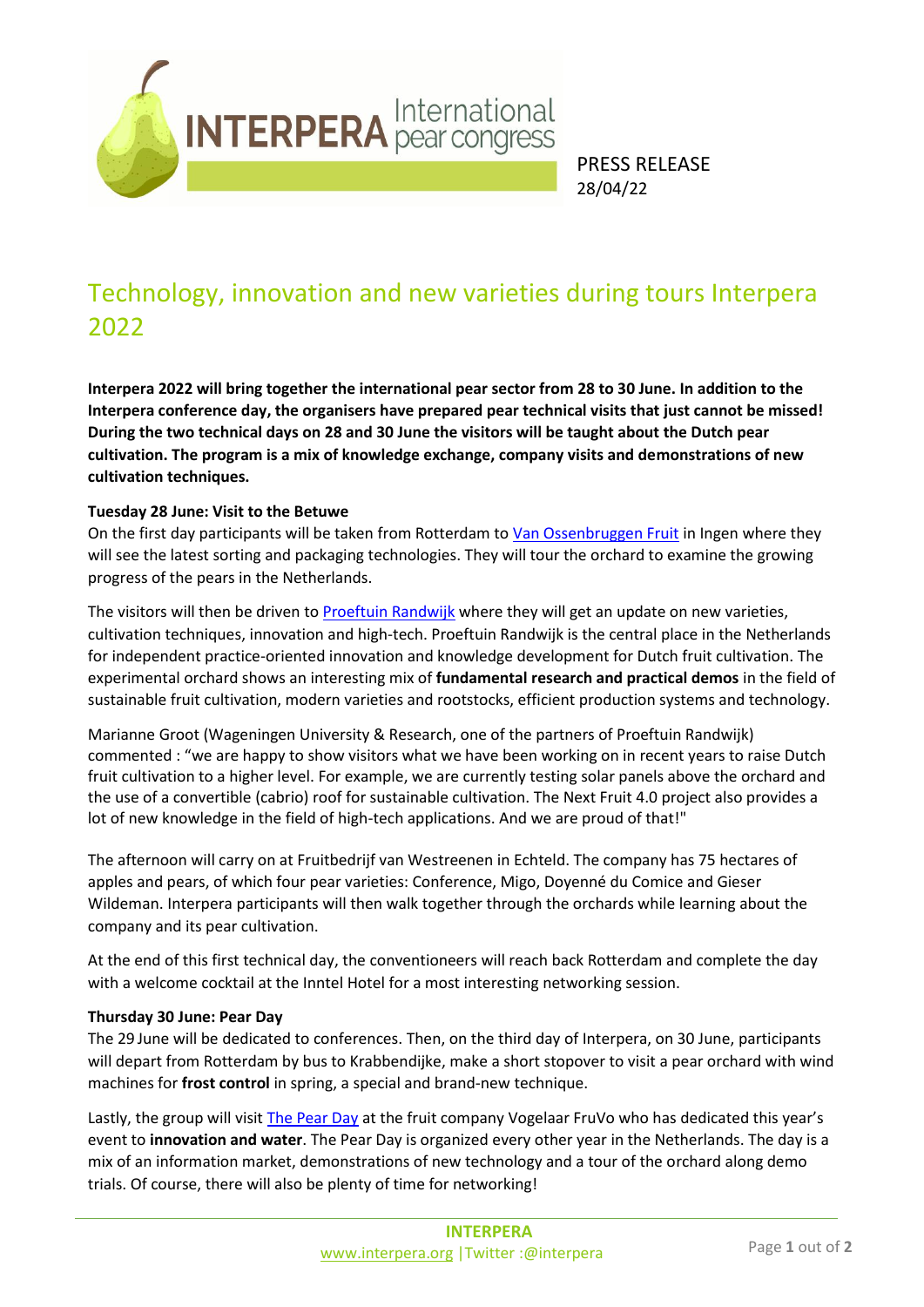

PRESS RELEASE 28/04/22

# Technology, innovation and new varieties during tours Interpera 2022

**Interpera 2022 will bring together the international pear sector from 28 to 30 June. In addition to the Interpera conference day, the organisers have prepared pear technical visits that just cannot be missed! During the two technical days on 28 and 30 June the visitors will be taught about the Dutch pear cultivation. The program is a mix of knowledge exchange, company visits and demonstrations of new cultivation techniques.** 

### **Tuesday 28 June: Visit to the Betuwe**

On the first day participants will be taken from Rotterdam to [Van Ossenbruggen Fruit](https://www.ossenbruggenfruit.nl/) in Ingen where they will see the latest sorting and packaging technologies. They will tour the orchard to examine the growing progress of the pears in the Netherlands.

The visitors will then be driven to [Proeftuin Randwijk](https://www.proeftuinrandwijk.nl/) where they will get an update on new varieties, cultivation techniques, innovation and high-tech. Proeftuin Randwijk is the central place in the Netherlands for independent practice-oriented innovation and knowledge development for Dutch fruit cultivation. The experimental orchard shows an interesting mix of **fundamental research and practical demos** in the field of sustainable fruit cultivation, modern varieties and rootstocks, efficient production systems and technology.

Marianne Groot (Wageningen University & Research, one of the partners of Proeftuin Randwijk) commented : "we are happy to show visitors what we have been working on in recent years to raise Dutch fruit cultivation to a higher level. For example, we are currently testing solar panels above the orchard and the use of a convertible (cabrio) roof for sustainable cultivation. The Next Fruit 4.0 project also provides a lot of new knowledge in the field of high-tech applications. And we are proud of that!"

The afternoon will carry on at Fruitbedrijf van Westreenen in Echteld. The company has 75 hectares of apples and pears, of which four pear varieties: Conference, Migo, Doyenné du Comice and Gieser Wildeman. Interpera participants will then walk together through the orchards while learning about the company and its pear cultivation.

At the end of this first technical day, the conventioneers will reach back Rotterdam and complete the day with a welcome cocktail at the Inntel Hotel for a most interesting networking session.

### **Thursday 30 June: Pear Day**

The 29 June will be dedicated to conferences. Then, on the third day of Interpera, on 30 June, participants will depart from Rotterdam by bus to Krabbendijke, make a short stopover to visit a pear orchard with wind machines for **frost control** in spring, a special and brand-new technique.

Lastly, the group will visit [The Pear Day](https://perendag.nl/) at the fruit company Vogelaar FruVo who has dedicated this year's event to **innovation and water**. The Pear Day is organized every other year in the Netherlands. The day is a mix of an information market, demonstrations of new technology and a tour of the orchard along demo trials. Of course, there will also be plenty of time for networking!